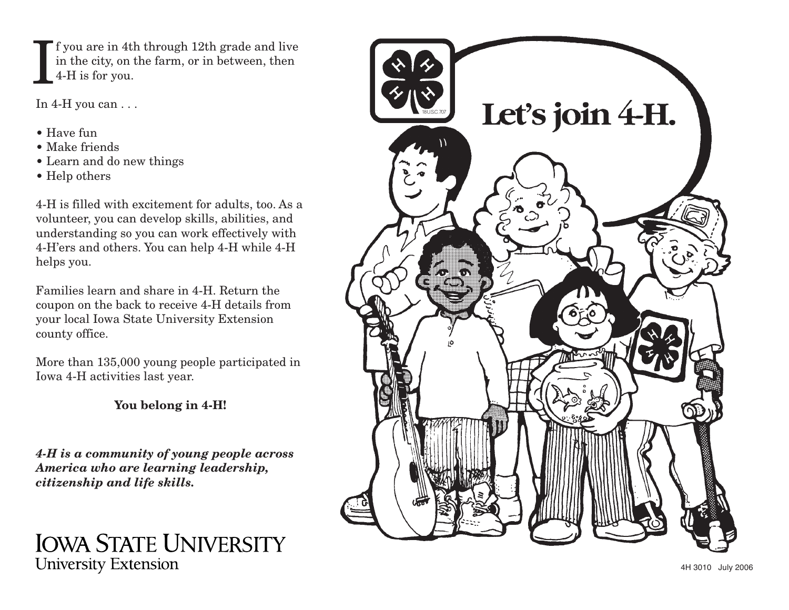f you are in 4th through 12th grade and live in the city, on the farm, or in between, then 4-H is for you.  $\rm I$ 

In 4-H you can . . .

- Have fun
- Make friends
- Learn and do new things
- Help others

4-H is filled with excitement for adults, too. As a volunteer, you can develop skills, abilities, and understanding so you can work effectively with 4-H'ers and others. You can help 4-H while 4-H helps you.

Families learn and share in 4-H. Return thecoupon on the back to receive 4-H details from your local Iowa State University Extension county office.

More than 135,000 young people participated in Iowa 4-H activities last year.

**You belong in 4-H!**

*4-H is a community of young people across America who are learning leadership, citizenship and life skills.*

## **IOWA STATE UNIVERSITY University Extension**